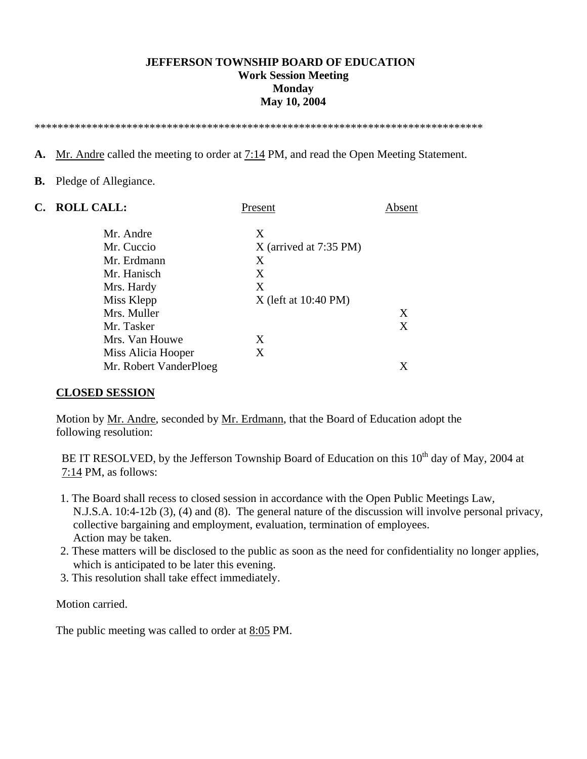#### **JEFFERSON TOWNSHIP BOARD OF EDUCATION Work Session Meeting Monday May 10, 2004**

\*\*\*\*\*\*\*\*\*\*\*\*\*\*\*\*\*\*\*\*\*\*\*\*\*\*\*\*\*\*\*\*\*\*\*\*\*\*\*\*\*\*\*\*\*\*\*\*\*\*\*\*\*\*\*\*\*\*\*\*\*\*\*\*\*\*\*\*\*\*\*\*\*\*\*\*\*\*

**A.** Mr. Andre called the meeting to order at 7:14 PM, and read the Open Meeting Statement.

#### **B.** Pledge of Allegiance.

| C. | <b>ROLL CALL:</b>      | Present                  | Absent |
|----|------------------------|--------------------------|--------|
|    | Mr. Andre              | X                        |        |
|    | Mr. Cuccio             | $X$ (arrived at 7:35 PM) |        |
|    | Mr. Erdmann            | X                        |        |
|    | Mr. Hanisch            | X                        |        |
|    | Mrs. Hardy             | X                        |        |
|    | Miss Klepp             | $X$ (left at 10:40 PM)   |        |
|    | Mrs. Muller            |                          | X      |
|    | Mr. Tasker             |                          | X      |
|    | Mrs. Van Houwe         | X                        |        |
|    | Miss Alicia Hooper     | X                        |        |
|    | Mr. Robert VanderPloeg |                          |        |

#### **CLOSED SESSION**

 Motion by Mr. Andre, seconded by Mr. Erdmann, that the Board of Education adopt the following resolution:

BE IT RESOLVED, by the Jefferson Township Board of Education on this 10<sup>th</sup> day of May, 2004 at 7:14 PM, as follows:

- 1. The Board shall recess to closed session in accordance with the Open Public Meetings Law, N.J.S.A. 10:4-12b (3), (4) and (8). The general nature of the discussion will involve personal privacy, collective bargaining and employment, evaluation, termination of employees. Action may be taken.
- 2. These matters will be disclosed to the public as soon as the need for confidentiality no longer applies, which is anticipated to be later this evening.
- 3. This resolution shall take effect immediately.

Motion carried.

The public meeting was called to order at 8:05 PM.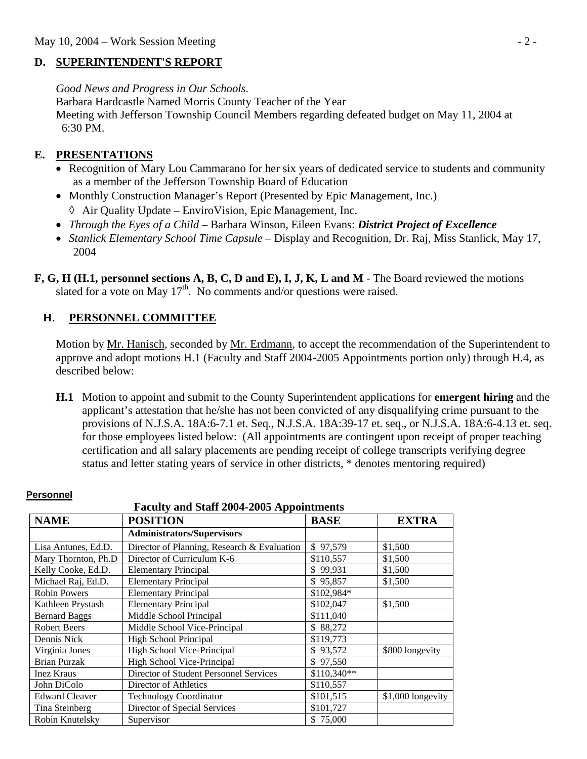#### **D. SUPERINTENDENT'S REPORT**

*Good News and Progress in Our Schools*.

Barbara Hardcastle Named Morris County Teacher of the Year Meeting with Jefferson Township Council Members regarding defeated budget on May 11, 2004 at 6:30 PM.

## **E. PRESENTATIONS**

- Recognition of Mary Lou Cammarano for her six years of dedicated service to students and community as a member of the Jefferson Township Board of Education
- Monthly Construction Manager's Report (Presented by Epic Management, Inc.) ◊ Air Quality Update – EnviroVision, Epic Management, Inc.
- *Through the Eyes of a Child* Barbara Winson, Eileen Evans: *District Project of Excellence*
- *Stanlick Elementary School Time Capsule*  Display and Recognition, Dr. Raj, Miss Stanlick, May 17, 2004
- **F, G, H (H.1, personnel sections A, B, C, D and E), I, J, K, L and M**  The Board reviewed the motions slated for a vote on May  $17<sup>th</sup>$ . No comments and/or questions were raised.

### **H**. **PERSONNEL COMMITTEE**

Motion by Mr. Hanisch, seconded by Mr. Erdmann, to accept the recommendation of the Superintendent to approve and adopt motions H.1 (Faculty and Staff 2004-2005 Appointments portion only) through H.4, as described below:

 **H.1** Motion to appoint and submit to the County Superintendent applications for **emergent hiring** and the applicant's attestation that he/she has not been convicted of any disqualifying crime pursuant to the provisions of N.J.S.A. 18A:6-7.1 et. Seq., N.J.S.A. 18A:39-17 et. seq., or N.J.S.A. 18A:6-4.13 et. seq. for those employees listed below: (All appointments are contingent upon receipt of proper teaching certification and all salary placements are pending receipt of college transcripts verifying degree status and letter stating years of service in other districts, \* denotes mentoring required)

| <b>Faculty and Staff 2004-2005 Appointments</b> |                                             |              |                   |  |  |
|-------------------------------------------------|---------------------------------------------|--------------|-------------------|--|--|
| <b>NAME</b>                                     | <b>BASE</b>                                 | <b>EXTRA</b> |                   |  |  |
|                                                 | <b>Administrators/Supervisors</b>           |              |                   |  |  |
| Lisa Antunes, Ed.D.                             | Director of Planning, Research & Evaluation | \$97,579     | \$1,500           |  |  |
| Mary Thornton, Ph.D                             | Director of Curriculum K-6                  | \$110,557    | \$1,500           |  |  |
| Kelly Cooke, Ed.D.                              | <b>Elementary Principal</b>                 | \$99,931     | \$1,500           |  |  |
| Michael Raj, Ed.D.                              | <b>Elementary Principal</b>                 | \$95,857     | \$1,500           |  |  |
| <b>Robin Powers</b>                             | <b>Elementary Principal</b>                 | \$102,984*   |                   |  |  |
| Kathleen Prystash                               | <b>Elementary Principal</b>                 | \$102,047    | \$1,500           |  |  |
| <b>Bernard Baggs</b>                            | Middle School Principal                     | \$111,040    |                   |  |  |
| <b>Robert Beers</b>                             | Middle School Vice-Principal                | \$88,272     |                   |  |  |
| Dennis Nick                                     | High School Principal                       | \$119,773    |                   |  |  |
| Virginia Jones                                  | High School Vice-Principal                  | \$93,572     | \$800 longevity   |  |  |
| <b>Brian Purzak</b>                             | High School Vice-Principal                  | \$97,550     |                   |  |  |
| <b>Inez Kraus</b>                               | Director of Student Personnel Services      | \$110,340**  |                   |  |  |
| John DiColo                                     | Director of Athletics                       | \$110,557    |                   |  |  |
| <b>Edward Cleaver</b>                           | <b>Technology Coordinator</b>               | \$101,515    | \$1,000 longevity |  |  |
| Tina Steinberg                                  | Director of Special Services                | \$101,727    |                   |  |  |
| Robin Knutelsky                                 | Supervisor                                  | \$75,000     |                   |  |  |

# **Personnel**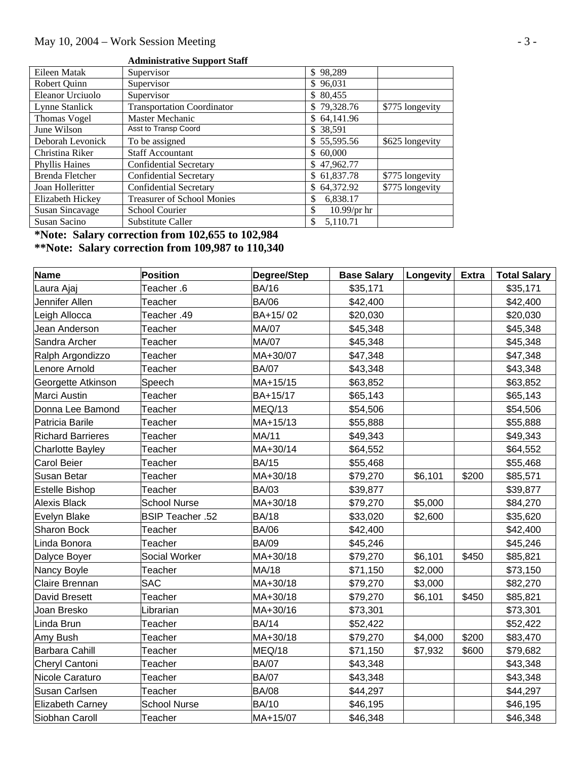### **Administrative Support Staff**

| Eileen Matak           | Supervisor                        | \$98,289             |                 |
|------------------------|-----------------------------------|----------------------|-----------------|
| Robert Quinn           | Supervisor                        | \$96,031             |                 |
| Eleanor Urciuolo       | Supervisor                        | \$ 80,455            |                 |
| Lynne Stanlick         | <b>Transportation Coordinator</b> | \$79,328.76          | \$775 longevity |
| <b>Thomas Vogel</b>    | Master Mechanic                   | \$64,141.96          |                 |
| June Wilson            | Asst to Transp Coord              | \$ 38,591            |                 |
| Deborah Levonick       | To be assigned                    | \$55,595.56          | \$625 longevity |
| Christina Riker        | <b>Staff Accountant</b>           | \$60,000             |                 |
| <b>Phyllis Haines</b>  | <b>Confidential Secretary</b>     | \$47,962.77          |                 |
| Brenda Fletcher        | <b>Confidential Secretary</b>     | \$61,837.78          | \$775 longevity |
| Joan Holleritter       | <b>Confidential Secretary</b>     | \$64,372.92          | \$775 longevity |
| Elizabeth Hickey       | <b>Treasurer of School Monies</b> | 6,838.17<br>\$       |                 |
| <b>Susan Sincavage</b> | <b>School Courier</b>             | $10.99$ /pr hr<br>\$ |                 |
| Susan Sacino           | Substitute Caller                 | 5,110.71<br>\$       |                 |

#### **\*Note: Salary correction from 102,655 to 102,984 \*\*Note: Salary correction from 109,987 to 110,340**

| <b>Name</b>              | Position                | Degree/Step  | <b>Base Salary</b> | Longevity | <b>Extra</b> | <b>Total Salary</b> |
|--------------------------|-------------------------|--------------|--------------------|-----------|--------------|---------------------|
| Laura Ajaj               | Teacher .6              | <b>BA/16</b> | \$35,171           |           |              | \$35,171            |
| Jennifer Allen           | Teacher                 | <b>BA/06</b> | \$42,400           |           |              | \$42,400            |
| Leigh Allocca            | Teacher .49             | BA+15/02     | \$20,030           |           |              | \$20,030            |
| Jean Anderson            | Teacher                 | MA/07        | \$45,348           |           |              | \$45,348            |
| Sandra Archer            | Teacher                 | <b>MA/07</b> | \$45,348           |           |              | \$45,348            |
| Ralph Argondizzo         | Teacher                 | MA+30/07     | \$47,348           |           |              | \$47,348            |
| Lenore Arnold            | Teacher                 | <b>BA/07</b> | \$43,348           |           |              | \$43,348            |
| Georgette Atkinson       | Speech                  | MA+15/15     | \$63,852           |           |              | \$63,852            |
| Marci Austin             | Teacher                 | BA+15/17     | \$65,143           |           |              | \$65,143            |
| Donna Lee Bamond         | Teacher                 | MEQ/13       | \$54,506           |           |              | \$54,506            |
| Patricia Barile          | Teacher                 | MA+15/13     | \$55,888           |           |              | \$55,888            |
| <b>Richard Barrieres</b> | Teacher                 | MA/11        | \$49,343           |           |              | \$49,343            |
| <b>Charlotte Bayley</b>  | Teacher                 | MA+30/14     | \$64,552           |           |              | \$64,552            |
| <b>Carol Beier</b>       | Teacher                 | <b>BA/15</b> | \$55,468           |           |              | \$55,468            |
| Susan Betar              | Teacher                 | MA+30/18     | \$79,270           | \$6,101   | \$200        | \$85,571            |
| Estelle Bishop           | Teacher                 | <b>BA/03</b> | \$39,877           |           |              | \$39,877            |
| <b>Alexis Black</b>      | <b>School Nurse</b>     | MA+30/18     | \$79,270           | \$5,000   |              | \$84,270            |
| Evelyn Blake             | <b>BSIP Teacher .52</b> | <b>BA/18</b> | \$33,020           | \$2,600   |              | \$35,620            |
| <b>Sharon Bock</b>       | Teacher                 | <b>BA/06</b> | \$42,400           |           |              | \$42,400            |
| Linda Bonora             | Teacher                 | <b>BA/09</b> | \$45,246           |           |              | \$45,246            |
| Dalyce Boyer             | <b>Social Worker</b>    | MA+30/18     | \$79,270           | \$6,101   | \$450        | \$85,821            |
| Nancy Boyle              | Teacher                 | MA/18        | \$71,150           | \$2,000   |              | \$73,150            |
| Claire Brennan           | <b>SAC</b>              | MA+30/18     | \$79,270           | \$3,000   |              | \$82,270            |
| David Bresett            | Teacher                 | MA+30/18     | \$79,270           | \$6,101   | \$450        | \$85,821            |
| Joan Bresko              | Librarian               | MA+30/16     | \$73,301           |           |              | \$73,301            |
| Linda Brun               | Teacher                 | <b>BA/14</b> | \$52,422           |           |              | \$52,422            |
| Amy Bush                 | Teacher                 | MA+30/18     | \$79,270           | \$4,000   | \$200        | \$83,470            |
| Barbara Cahill           | Teacher                 | MEQ/18       | \$71,150           | \$7,932   | \$600        | \$79,682            |
| Cheryl Cantoni           | Teacher                 | <b>BA/07</b> | \$43,348           |           |              | \$43,348            |
| Nicole Caraturo          | Teacher                 | <b>BA/07</b> | \$43,348           |           |              | \$43,348            |
| <b>Susan Carlsen</b>     | Teacher                 | <b>BA/08</b> | \$44,297           |           |              | \$44,297            |
| Elizabeth Carney         | <b>School Nurse</b>     | <b>BA/10</b> | \$46,195           |           |              | \$46,195            |
| Siobhan Caroll           | Teacher                 | MA+15/07     | \$46,348           |           |              | \$46,348            |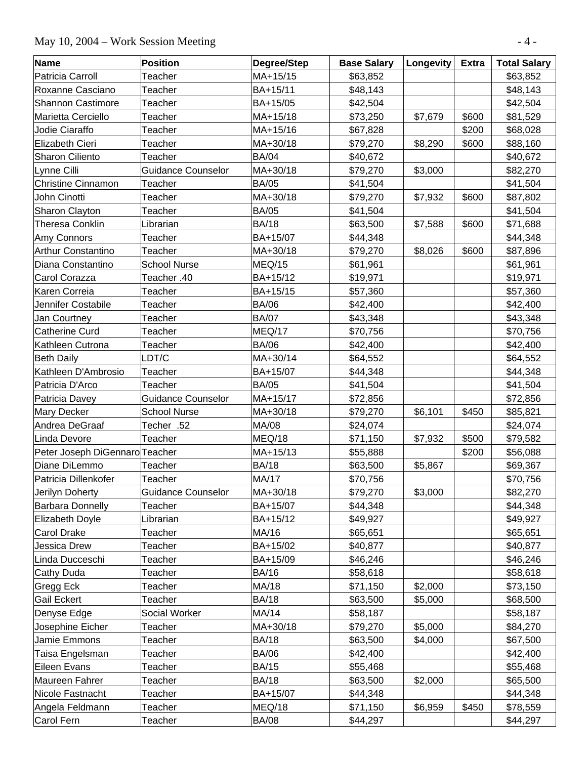# May 10, 2004 – Work Session Meeting - 4 -

| <b>Name</b>                    | <b>Position</b>           | Degree/Step  | <b>Base Salary</b> | Longevity | <b>Extra</b> | <b>Total Salary</b> |
|--------------------------------|---------------------------|--------------|--------------------|-----------|--------------|---------------------|
| Patricia Carroll               | Teacher                   | MA+15/15     | \$63,852           |           |              | \$63,852            |
| Roxanne Casciano               | Teacher                   | BA+15/11     | \$48,143           |           |              | \$48,143            |
| <b>Shannon Castimore</b>       | Teacher                   | BA+15/05     | \$42,504           |           |              | \$42,504            |
| Marietta Cerciello             | Teacher                   | MA+15/18     | \$73,250           | \$7,679   | \$600        | \$81,529            |
| Jodie Ciaraffo                 | Teacher                   | MA+15/16     | \$67,828           |           | \$200        | \$68,028            |
| Elizabeth Cieri                | Teacher                   | MA+30/18     | \$79,270           | \$8,290   | \$600        | \$88,160            |
| <b>Sharon Ciliento</b>         | Teacher                   | <b>BA/04</b> | \$40,672           |           |              | \$40,672            |
| Lynne Cilli                    | <b>Guidance Counselor</b> | MA+30/18     | \$79,270           | \$3,000   |              | \$82,270            |
| <b>Christine Cinnamon</b>      | Teacher                   | <b>BA/05</b> | \$41,504           |           |              | \$41,504            |
| John Cinotti                   | Teacher                   | MA+30/18     | \$79,270           | \$7,932   | \$600        | \$87,802            |
| Sharon Clayton                 | Teacher                   | <b>BA/05</b> | \$41,504           |           |              | \$41,504            |
| <b>Theresa Conklin</b>         | Librarian                 | <b>BA/18</b> | \$63,500           | \$7,588   | \$600        | \$71,688            |
| Amy Connors                    | Teacher                   | BA+15/07     | \$44,348           |           |              | \$44,348            |
| <b>Arthur Constantino</b>      | Teacher                   | MA+30/18     | \$79,270           | \$8,026   | \$600        | \$87,896            |
| Diana Constantino              | <b>School Nurse</b>       | MEQ/15       | \$61,961           |           |              | \$61,961            |
| Carol Corazza                  | Teacher .40               | BA+15/12     | \$19,971           |           |              | \$19,971            |
| Karen Correia                  | Teacher                   | BA+15/15     | \$57,360           |           |              | \$57,360            |
| Jennifer Costabile             | Teacher                   | <b>BA/06</b> | \$42,400           |           |              | \$42,400            |
| Jan Courtney                   | Teacher                   | <b>BA/07</b> | \$43,348           |           |              | \$43,348            |
| <b>Catherine Curd</b>          | Teacher                   | MEQ/17       | \$70,756           |           |              | \$70,756            |
| Kathleen Cutrona               | Teacher                   | <b>BA/06</b> | \$42,400           |           |              | \$42,400            |
| <b>Beth Daily</b>              | LDT/C                     | MA+30/14     | \$64,552           |           |              | \$64,552            |
| Kathleen D'Ambrosio            | Teacher                   | BA+15/07     | \$44,348           |           |              | \$44,348            |
| Patricia D'Arco                | Teacher                   | <b>BA/05</b> | \$41,504           |           |              | \$41,504            |
| Patricia Davey                 | <b>Guidance Counselor</b> | MA+15/17     | \$72,856           |           |              | \$72,856            |
| <b>Mary Decker</b>             | <b>School Nurse</b>       | MA+30/18     | \$79,270           | \$6,101   | \$450        | \$85,821            |
| Andrea DeGraaf                 | Techer .52                | MA/08        | \$24,074           |           |              | \$24,074            |
| Linda Devore                   | Teacher                   | MEQ/18       | \$71,150           | \$7,932   | \$500        | \$79,582            |
| Peter Joseph DiGennaro Teacher |                           | MA+15/13     | \$55,888           |           | \$200        | \$56,088            |
| Diane DiLemmo                  | Teacher                   | <b>BA/18</b> | \$63,500           | \$5,867   |              | \$69,367            |
| Patricia Dillenkofer           | Teacher                   | <b>MA/17</b> | \$70,756           |           |              | \$70,756            |
| Jerilyn Doherty                | Guidance Counselor        | MA+30/18     | \$79,270           | \$3,000   |              | \$82,270            |
| <b>Barbara Donnelly</b>        | Teacher                   | BA+15/07     | \$44,348           |           |              | \$44,348            |
| Elizabeth Doyle                | Librarian                 | BA+15/12     | \$49,927           |           |              | \$49,927            |
| <b>Carol Drake</b>             | Teacher                   | MA/16        | \$65,651           |           |              | \$65,651            |
| <b>Jessica Drew</b>            | Teacher                   | BA+15/02     | \$40,877           |           |              | \$40,877            |
| Linda Ducceschi                | Teacher                   | BA+15/09     | \$46,246           |           |              | \$46,246            |
| Cathy Duda                     | Teacher                   | <b>BA/16</b> | \$58,618           |           |              | \$58,618            |
| Gregg Eck                      | Teacher                   | MA/18        | \$71,150           | \$2,000   |              | \$73,150            |
| Gail Eckert                    | Teacher                   | <b>BA/18</b> | \$63,500           | \$5,000   |              | \$68,500            |
| Denyse Edge                    | Social Worker             | MA/14        | \$58,187           |           |              | \$58,187            |
| Josephine Eicher               | Teacher                   | MA+30/18     | \$79,270           | \$5,000   |              | \$84,270            |
| Jamie Emmons                   | Teacher                   | <b>BA/18</b> | \$63,500           | \$4,000   |              | \$67,500            |
| Taisa Engelsman                | Teacher                   | <b>BA/06</b> | \$42,400           |           |              | \$42,400            |
| Eileen Evans                   | Teacher                   | <b>BA/15</b> | \$55,468           |           |              | \$55,468            |
| Maureen Fahrer                 | Teacher                   | <b>BA/18</b> | \$63,500           | \$2,000   |              | \$65,500            |
| Nicole Fastnacht               | Teacher                   | BA+15/07     | \$44,348           |           |              | \$44,348            |
| Angela Feldmann                | Teacher                   | MEQ/18       | \$71,150           | \$6,959   | \$450        | \$78,559            |
| Carol Fern                     | Teacher                   | <b>BA/08</b> | \$44,297           |           |              | \$44,297            |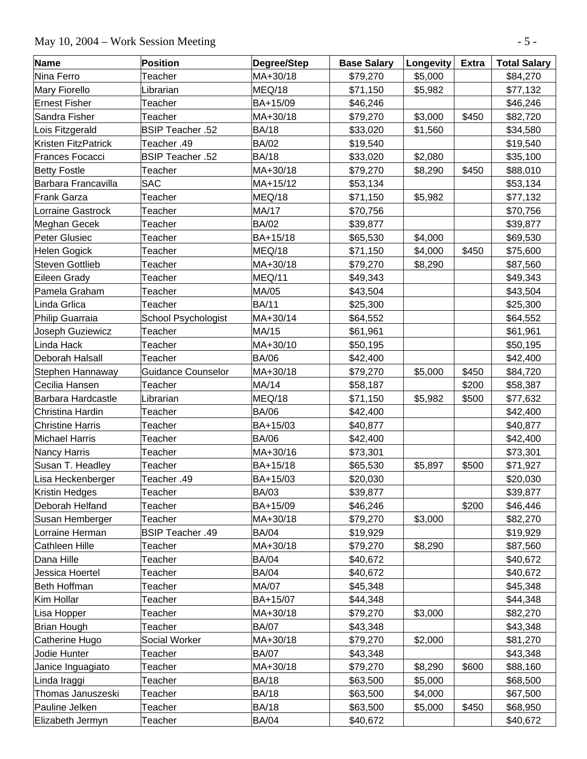# May 10, 2004 – Work Session Meeting - 5 -

| <b>Name</b>             | <b>Position</b>         | Degree/Step  | <b>Base Salary</b> | Longevity | <b>Extra</b> | <b>Total Salary</b> |
|-------------------------|-------------------------|--------------|--------------------|-----------|--------------|---------------------|
| Nina Ferro              | Teacher                 | MA+30/18     | \$79,270           | \$5,000   |              | \$84,270            |
| <b>Mary Fiorello</b>    | Librarian               | MEQ/18       | \$71,150           | \$5,982   |              | \$77,132            |
| <b>Ernest Fisher</b>    | Teacher                 | BA+15/09     | \$46,246           |           |              | \$46,246            |
| Sandra Fisher           | Teacher                 | MA+30/18     | \$79,270           | \$3,000   | \$450        | \$82,720            |
| Lois Fitzgerald         | <b>BSIP Teacher .52</b> | <b>BA/18</b> | \$33,020           | \$1,560   |              | \$34,580            |
| Kristen FitzPatrick     | Teacher .49             | <b>BA/02</b> | \$19,540           |           |              | \$19,540            |
| <b>Frances Focacci</b>  | <b>BSIP Teacher .52</b> | <b>BA/18</b> | \$33,020           | \$2,080   |              | \$35,100            |
| <b>Betty Fostle</b>     | Teacher                 | MA+30/18     | \$79,270           | \$8,290   | \$450        | \$88,010            |
| Barbara Francavilla     | <b>SAC</b>              | MA+15/12     | \$53,134           |           |              | \$53,134            |
| Frank Garza             | Teacher                 | MEQ/18       | \$71,150           | \$5,982   |              | \$77,132            |
| Lorraine Gastrock       | Teacher                 | MA/17        | \$70,756           |           |              | \$70,756            |
| Meghan Gecek            | Teacher                 | <b>BA/02</b> | \$39,877           |           |              | \$39,877            |
| Peter Glusiec           | Teacher                 | BA+15/18     | \$65,530           | \$4,000   |              | \$69,530            |
| Helen Gogick            | Teacher                 | MEQ/18       | \$71,150           | \$4,000   | \$450        | \$75,600            |
| <b>Steven Gottlieb</b>  | Teacher                 | MA+30/18     | \$79,270           | \$8,290   |              | \$87,560            |
| Eileen Grady            | Teacher                 | MEQ/11       | \$49,343           |           |              | \$49,343            |
| Pamela Graham           | Teacher                 | MA/05        | \$43,504           |           |              | \$43,504            |
| Linda Grlica            | Teacher                 | <b>BA/11</b> | \$25,300           |           |              | \$25,300            |
| Philip Guarraia         | School Psychologist     | MA+30/14     | \$64,552           |           |              | \$64,552            |
| Joseph Guziewicz        | Teacher                 | MA/15        | \$61,961           |           |              | \$61,961            |
| Linda Hack              | Teacher                 | MA+30/10     | \$50,195           |           |              | \$50,195            |
| Deborah Halsall         | Teacher                 | <b>BA/06</b> | \$42,400           |           |              | \$42,400            |
| Stephen Hannaway        | Guidance Counselor      | MA+30/18     | \$79,270           | \$5,000   | \$450        | \$84,720            |
| Cecilia Hansen          | Teacher                 | MA/14        | \$58,187           |           | \$200        | \$58,387            |
| Barbara Hardcastle      | Librarian               | MEQ/18       | \$71,150           | \$5,982   | \$500        | \$77,632            |
| Christina Hardin        | Teacher                 | <b>BA/06</b> | \$42,400           |           |              | \$42,400            |
| <b>Christine Harris</b> | Teacher                 | BA+15/03     | \$40,877           |           |              | \$40,877            |
| <b>Michael Harris</b>   | Teacher                 | <b>BA/06</b> | \$42,400           |           |              | \$42,400            |
| Nancy Harris            | Teacher                 | MA+30/16     | \$73,301           |           |              | \$73,301            |
| Susan T. Headley        | Teacher                 | BA+15/18     | \$65,530           | \$5,897   | \$500        | \$71,927            |
| Lisa Heckenberger       | Teacher .49             | BA+15/03     | \$20,030           |           |              | \$20,030            |
| Kristin Hedges          | Teacher                 | <b>BA/03</b> | \$39,877           |           |              | \$39,877            |
| Deborah Helfand         | Teacher                 | BA+15/09     | \$46,246           |           | \$200        | \$46,446            |
| Susan Hemberger         | Teacher                 | MA+30/18     | \$79,270           | \$3,000   |              | \$82,270            |
| Lorraine Herman         | <b>BSIP Teacher .49</b> | <b>BA/04</b> | \$19,929           |           |              | \$19,929            |
| Cathleen Hille          | Teacher                 | MA+30/18     | \$79,270           | \$8,290   |              | \$87,560            |
| Dana Hille              | Teacher                 | <b>BA/04</b> | \$40,672           |           |              | \$40,672            |
| Jessica Hoertel         | Teacher                 | <b>BA/04</b> | \$40,672           |           |              | \$40,672            |
| Beth Hoffman            | Teacher                 | MA/07        | \$45,348           |           |              | \$45,348            |
| Kim Hollar              | Teacher                 | BA+15/07     | \$44,348           |           |              | \$44,348            |
| Lisa Hopper             | Teacher                 | MA+30/18     | \$79,270           | \$3,000   |              | \$82,270            |
| Brian Hough             | Teacher                 | <b>BA/07</b> | \$43,348           |           |              | \$43,348            |
| Catherine Hugo          | Social Worker           | MA+30/18     | \$79,270           | \$2,000   |              | \$81,270            |
| Jodie Hunter            | Teacher                 | <b>BA/07</b> | \$43,348           |           |              | \$43,348            |
| Janice Inguagiato       | Teacher                 | MA+30/18     | \$79,270           | \$8,290   | \$600        | \$88,160            |
| Linda Iraggi            | Teacher                 | <b>BA/18</b> | \$63,500           | \$5,000   |              | \$68,500            |
| Thomas Januszeski       | Teacher                 | <b>BA/18</b> | \$63,500           | \$4,000   |              | \$67,500            |
| Pauline Jelken          | Teacher                 | <b>BA/18</b> | \$63,500           | \$5,000   | \$450        | \$68,950            |
| Elizabeth Jermyn        | Teacher                 | <b>BA/04</b> | \$40,672           |           |              | \$40,672            |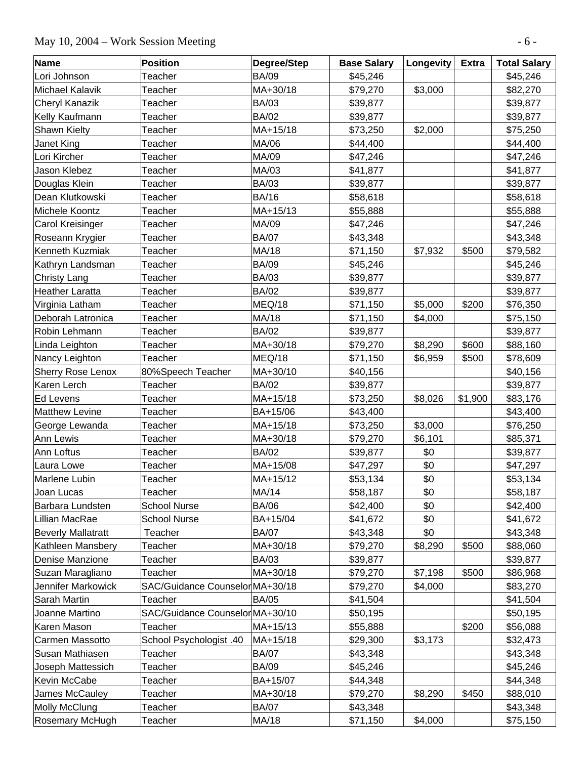# May 10, 2004 – Work Session Meeting - 6 -

| <b>Name</b>               | Position                        | Degree/Step  | <b>Base Salary</b> | Longevity | <b>Extra</b> | <b>Total Salary</b> |
|---------------------------|---------------------------------|--------------|--------------------|-----------|--------------|---------------------|
| Lori Johnson              | Teacher                         | <b>BA/09</b> | \$45,246           |           |              | \$45,246            |
| <b>Michael Kalavik</b>    | Teacher                         | MA+30/18     | \$79,270           | \$3,000   |              | \$82,270            |
| Cheryl Kanazik            | Teacher                         | <b>BA/03</b> | \$39,877           |           |              | \$39,877            |
| Kelly Kaufmann            | Teacher                         | <b>BA/02</b> | \$39,877           |           |              | \$39,877            |
| <b>Shawn Kielty</b>       | Teacher                         | MA+15/18     | \$73,250           | \$2,000   |              | \$75,250            |
| Janet King                | Teacher                         | MA/06        | \$44,400           |           |              | \$44,400            |
| Lori Kircher              | Teacher                         | MA/09        | \$47,246           |           |              | \$47,246            |
| Jason Klebez              | Teacher                         | MA/03        | \$41,877           |           |              | \$41,877            |
| Douglas Klein             | Teacher                         | <b>BA/03</b> | \$39,877           |           |              | \$39,877            |
| Dean Klutkowski           | Teacher                         | <b>BA/16</b> | \$58,618           |           |              | \$58,618            |
| Michele Koontz            | Teacher                         | MA+15/13     | \$55,888           |           |              | \$55,888            |
| Carol Kreisinger          | Teacher                         | MA/09        | \$47,246           |           |              | \$47,246            |
| Roseann Krygier           | Teacher                         | <b>BA/07</b> | \$43,348           |           |              | \$43,348            |
| Kenneth Kuzmiak           | Teacher                         | MA/18        | \$71,150           | \$7,932   | \$500        | \$79,582            |
| Kathryn Landsman          | Teacher                         | <b>BA/09</b> | \$45,246           |           |              | \$45,246            |
| <b>Christy Lang</b>       | Teacher                         | <b>BA/03</b> | \$39,877           |           |              | \$39,877            |
| <b>Heather Laratta</b>    | Teacher                         | <b>BA/02</b> | \$39,877           |           |              | \$39,877            |
| Virginia Latham           | Teacher                         | MEQ/18       | \$71,150           | \$5,000   | \$200        | \$76,350            |
| Deborah Latronica         | Teacher                         | MA/18        | \$71,150           | \$4,000   |              | \$75,150            |
| Robin Lehmann             | Teacher                         | <b>BA/02</b> | \$39,877           |           |              | \$39,877            |
| Linda Leighton            | Teacher                         | MA+30/18     | \$79,270           | \$8,290   | \$600        | \$88,160            |
| Nancy Leighton            | Teacher                         | MEQ/18       | \$71,150           | \$6,959   | \$500        | \$78,609            |
| <b>Sherry Rose Lenox</b>  | 80%Speech Teacher               | MA+30/10     | \$40,156           |           |              | \$40,156            |
| Karen Lerch               | Teacher                         | <b>BA/02</b> | \$39,877           |           |              | \$39,877            |
| <b>Ed Levens</b>          | Teacher                         | MA+15/18     | \$73,250           | \$8,026   | \$1,900      | \$83,176            |
| <b>Matthew Levine</b>     | Teacher                         | BA+15/06     | \$43,400           |           |              | \$43,400            |
| George Lewanda            | Teacher                         | MA+15/18     | \$73,250           | \$3,000   |              | \$76,250            |
| Ann Lewis                 | Teacher                         | MA+30/18     | \$79,270           | \$6,101   |              | \$85,371            |
| Ann Loftus                | Teacher                         | <b>BA/02</b> | \$39,877           | \$0       |              | \$39,877            |
| Laura Lowe                | Teacher                         | MA+15/08     | \$47,297           | \$0       |              | \$47,297            |
| Marlene Lubin             | Teacher                         | MA+15/12     | \$53,134           | \$0       |              | \$53,134            |
| Joan Lucas                | Teacher                         | MA/14        | \$58,187           | \$0       |              | \$58,187            |
| Barbara Lundsten          | <b>School Nurse</b>             | <b>BA/06</b> | \$42,400           | \$0       |              | \$42,400            |
| Lillian MacRae            | <b>School Nurse</b>             | BA+15/04     | \$41,672           | \$0       |              | \$41,672            |
| <b>Beverly Mallatratt</b> | Teacher                         | <b>BA/07</b> | \$43,348           | \$0       |              | \$43,348            |
| Kathleen Mansbery         | Teacher                         | MA+30/18     | \$79,270           | \$8,290   | \$500        | \$88,060            |
| Denise Manzione           | Teacher                         | <b>BA/03</b> | \$39,877           |           |              | \$39,877            |
| Suzan Maragliano          | Teacher                         | MA+30/18     | \$79,270           | \$7,198   | \$500        | \$86,968            |
| Jennifer Markowick        | SAC/Guidance Counselor MA+30/18 |              | \$79,270           | \$4,000   |              | \$83,270            |
| Sarah Martin              | Teacher                         | <b>BA/05</b> | \$41,504           |           |              | \$41,504            |
| Joanne Martino            | SAC/Guidance Counselor MA+30/10 |              | \$50,195           |           |              | \$50,195            |
| Karen Mason               | Teacher                         | MA+15/13     | \$55,888           |           | \$200        | \$56,088            |
| <b>Carmen Massotto</b>    | School Psychologist .40         | MA+15/18     | \$29,300           | \$3,173   |              | \$32,473            |
| Susan Mathiasen           | Teacher                         | <b>BA/07</b> | \$43,348           |           |              | \$43,348            |
| Joseph Mattessich         | Teacher                         | <b>BA/09</b> | \$45,246           |           |              | \$45,246            |
| Kevin McCabe              | Teacher                         | BA+15/07     | \$44,348           |           |              | \$44,348            |
| James McCauley            | Teacher                         | MA+30/18     | \$79,270           | \$8,290   | \$450        | \$88,010            |
| Molly McClung             | Teacher                         | <b>BA/07</b> | \$43,348           |           |              | \$43,348            |
| Rosemary McHugh           | Teacher                         | MA/18        | \$71,150           | \$4,000   |              | \$75,150            |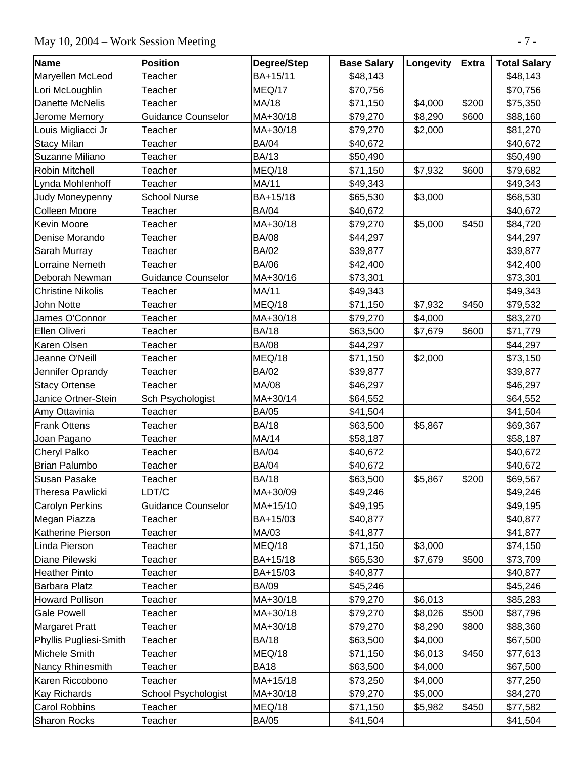# May 10, 2004 – Work Session Meeting - 7 -

| Name                     | Position                  | Degree/Step  | <b>Base Salary</b> | Longevity | <b>Extra</b> | <b>Total Salary</b> |
|--------------------------|---------------------------|--------------|--------------------|-----------|--------------|---------------------|
| Maryellen McLeod         | Teacher                   | BA+15/11     | \$48,143           |           |              | \$48,143            |
| Lori McLoughlin          | Teacher                   | MEQ/17       | \$70,756           |           |              | \$70,756            |
| Danette McNelis          | Teacher                   | MA/18        | \$71,150           | \$4,000   | \$200        | \$75,350            |
| Jerome Memory            | <b>Guidance Counselor</b> | MA+30/18     | \$79,270           | \$8,290   | \$600        | \$88,160            |
| Louis Migliacci Jr       | Teacher                   | MA+30/18     | \$79,270           | \$2,000   |              | \$81,270            |
| <b>Stacy Milan</b>       | Teacher                   | <b>BA/04</b> | \$40,672           |           |              | \$40,672            |
| Suzanne Miliano          | Teacher                   | <b>BA/13</b> | \$50,490           |           |              | \$50,490            |
| <b>Robin Mitchell</b>    | Teacher                   | MEQ/18       | \$71,150           | \$7,932   | \$600        | \$79,682            |
| Lynda Mohlenhoff         | Teacher                   | MA/11        | \$49,343           |           |              | \$49,343            |
| Judy Moneypenny          | <b>School Nurse</b>       | BA+15/18     | \$65,530           | \$3,000   |              | \$68,530            |
| <b>Colleen Moore</b>     | Teacher                   | <b>BA/04</b> | \$40,672           |           |              | \$40,672            |
| <b>Kevin Moore</b>       | Teacher                   | MA+30/18     | \$79,270           | \$5,000   | \$450        | \$84,720            |
| Denise Morando           | Teacher                   | <b>BA/08</b> | \$44,297           |           |              | \$44,297            |
| Sarah Murray             | Teacher                   | <b>BA/02</b> | \$39,877           |           |              | \$39,877            |
| Lorraine Nemeth          | Teacher                   | <b>BA/06</b> | \$42,400           |           |              | \$42,400            |
| Deborah Newman           | <b>Guidance Counselor</b> | MA+30/16     | \$73,301           |           |              | \$73,301            |
| <b>Christine Nikolis</b> | Teacher                   | MA/11        | \$49,343           |           |              | \$49,343            |
| John Notte               | Teacher                   | MEQ/18       | \$71,150           | \$7,932   | \$450        | \$79,532            |
| James O'Connor           | Teacher                   | MA+30/18     | \$79,270           | \$4,000   |              | \$83,270            |
| Ellen Oliveri            | Teacher                   | <b>BA/18</b> | \$63,500           | \$7,679   | \$600        | \$71,779            |
| Karen Olsen              | Teacher                   | <b>BA/08</b> | \$44,297           |           |              | \$44,297            |
| Jeanne O'Neill           | Teacher                   | MEQ/18       | \$71,150           | \$2,000   |              | \$73,150            |
| Jennifer Oprandy         | Teacher                   | <b>BA/02</b> | \$39,877           |           |              | \$39,877            |
| <b>Stacy Ortense</b>     | Teacher                   | MA/08        | \$46,297           |           |              | \$46,297            |
| Janice Ortner-Stein      | Sch Psychologist          | MA+30/14     | \$64,552           |           |              | \$64,552            |
| Amy Ottavinia            | Teacher                   | <b>BA/05</b> | \$41,504           |           |              | \$41,504            |
| <b>Frank Ottens</b>      | Teacher                   | <b>BA/18</b> | \$63,500           | \$5,867   |              | \$69,367            |
| Joan Pagano              | Teacher                   | MA/14        | \$58,187           |           |              | \$58,187            |
| <b>Cheryl Palko</b>      | Teacher                   | <b>BA/04</b> | \$40,672           |           |              | \$40,672            |
| <b>Brian Palumbo</b>     | Teacher                   | <b>BA/04</b> | \$40,672           |           |              | \$40,672            |
| <b>Susan Pasake</b>      | Teacher                   | <b>BA/18</b> | \$63,500           | \$5,867   | \$200        | \$69,567            |
| <b>Theresa Pawlicki</b>  | LDT/C                     | MA+30/09     | \$49,246           |           |              | \$49,246            |
| <b>Carolyn Perkins</b>   | Guidance Counselor        | MA+15/10     | \$49,195           |           |              | \$49,195            |
| Megan Piazza             | Teacher                   | BA+15/03     | \$40,877           |           |              | \$40,877            |
| Katherine Pierson        | Teacher                   | MA/03        | \$41,877           |           |              | \$41,877            |
| Linda Pierson            | Teacher                   | MEQ/18       | \$71,150           | \$3,000   |              | \$74,150            |
| Diane Pilewski           | Teacher                   | BA+15/18     | \$65,530           | \$7,679   | \$500        | \$73,709            |
| <b>Heather Pinto</b>     | Teacher                   | BA+15/03     | \$40,877           |           |              | \$40,877            |
| <b>Barbara Platz</b>     | Teacher                   | <b>BA/09</b> | \$45,246           |           |              | \$45,246            |
| <b>Howard Pollison</b>   | Teacher                   | MA+30/18     | \$79,270           | \$6,013   |              | \$85,283            |
| <b>Gale Powell</b>       | Teacher                   | MA+30/18     | \$79,270           | \$8,026   | \$500        | \$87,796            |
| <b>Margaret Pratt</b>    | Teacher                   | MA+30/18     | \$79,270           | \$8,290   | \$800        | \$88,360            |
| Phyllis Pugliesi-Smith   | Teacher                   | <b>BA/18</b> | \$63,500           | \$4,000   |              | \$67,500            |
| Michele Smith            | Teacher                   | MEQ/18       | \$71,150           | \$6,013   | \$450        | \$77,613            |
| Nancy Rhinesmith         | Teacher                   | <b>BA18</b>  | \$63,500           | \$4,000   |              | \$67,500            |
| Karen Riccobono          | Teacher                   | MA+15/18     | \$73,250           | \$4,000   |              | \$77,250            |
| <b>Kay Richards</b>      | School Psychologist       | MA+30/18     | \$79,270           | \$5,000   |              | \$84,270            |
| <b>Carol Robbins</b>     | Teacher                   | MEQ/18       | \$71,150           | \$5,982   | \$450        | \$77,582            |
| Sharon Rocks             | Teacher                   | <b>BA/05</b> | \$41,504           |           |              | \$41,504            |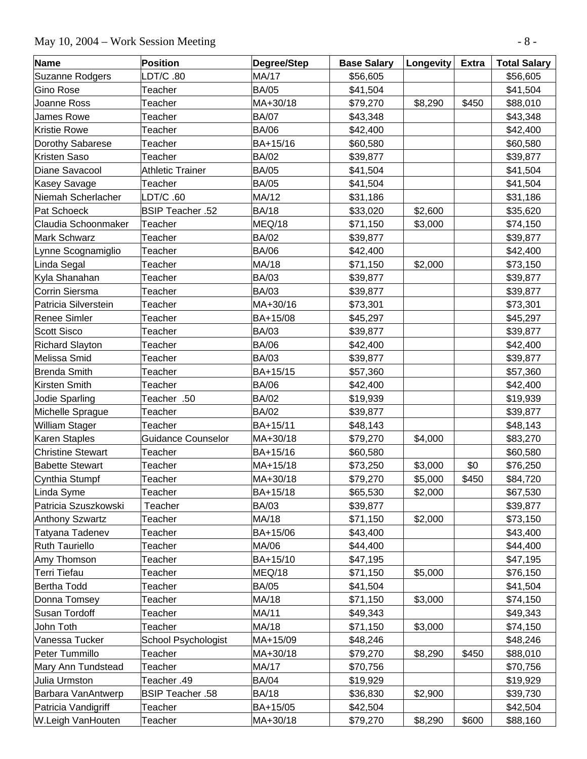# May 10, 2004 – Work Session Meeting - 8 -

| <b>Name</b>              | <b>Position</b>           | Degree/Step  | <b>Base Salary</b> | Longevity | <b>Extra</b> | <b>Total Salary</b> |
|--------------------------|---------------------------|--------------|--------------------|-----------|--------------|---------------------|
| Suzanne Rodgers          | LDT/C.80                  | <b>MA/17</b> | \$56,605           |           |              | \$56,605            |
| <b>Gino Rose</b>         | Teacher                   | <b>BA/05</b> | \$41,504           |           |              | \$41,504            |
| Joanne Ross              | Teacher                   | MA+30/18     | \$79,270           | \$8,290   | \$450        | \$88,010            |
| <b>James Rowe</b>        | Teacher                   | <b>BA/07</b> | \$43,348           |           |              | \$43,348            |
| <b>Kristie Rowe</b>      | Teacher                   | <b>BA/06</b> | \$42,400           |           |              | \$42,400            |
| Dorothy Sabarese         | Teacher                   | BA+15/16     | \$60,580           |           |              | \$60,580            |
| Kristen Saso             | Teacher                   | <b>BA/02</b> | \$39,877           |           |              | \$39,877            |
| Diane Savacool           | <b>Athletic Trainer</b>   | <b>BA/05</b> | \$41,504           |           |              | \$41,504            |
| <b>Kasey Savage</b>      | Teacher                   | <b>BA/05</b> | \$41,504           |           |              | \$41,504            |
| Niemah Scherlacher       | LDT/C .60                 | MA/12        | \$31,186           |           |              | \$31,186            |
| Pat Schoeck              | <b>BSIP Teacher .52</b>   | <b>BA/18</b> | \$33,020           | \$2,600   |              | \$35,620            |
| Claudia Schoonmaker      | Teacher                   | MEQ/18       | \$71,150           | \$3,000   |              | \$74,150            |
| Mark Schwarz             | Teacher                   | <b>BA/02</b> | \$39,877           |           |              | \$39,877            |
| Lynne Scognamiglio       | Teacher                   | <b>BA/06</b> | \$42,400           |           |              | \$42,400            |
| Linda Segal              | Teacher                   | MA/18        | \$71,150           | \$2,000   |              | \$73,150            |
| Kyla Shanahan            | Teacher                   | <b>BA/03</b> | \$39,877           |           |              | \$39,877            |
| Corrin Siersma           | Teacher                   | <b>BA/03</b> | \$39,877           |           |              | \$39,877            |
| Patricia Silverstein     | Teacher                   | MA+30/16     | \$73,301           |           |              | \$73,301            |
| <b>Renee Simler</b>      | Teacher                   | BA+15/08     | \$45,297           |           |              | \$45,297            |
| <b>Scott Sisco</b>       | Teacher                   | <b>BA/03</b> | \$39,877           |           |              | \$39,877            |
| <b>Richard Slayton</b>   | Teacher                   | <b>BA/06</b> | \$42,400           |           |              | \$42,400            |
| Melissa Smid             | Teacher                   | <b>BA/03</b> | \$39,877           |           |              | \$39,877            |
| Brenda Smith             | Teacher                   | BA+15/15     | \$57,360           |           |              | \$57,360            |
| Kirsten Smith            | Teacher                   | <b>BA/06</b> | \$42,400           |           |              | \$42,400            |
| Jodie Sparling           | Teacher .50               | <b>BA/02</b> | \$19,939           |           |              | \$19,939            |
| Michelle Sprague         | Teacher                   | <b>BA/02</b> | \$39,877           |           |              | \$39,877            |
| William Stager           | Teacher                   | BA+15/11     | \$48,143           |           |              | \$48,143            |
| Karen Staples            | <b>Guidance Counselor</b> | MA+30/18     | \$79,270           | \$4,000   |              | \$83,270            |
| <b>Christine Stewart</b> | Teacher                   | BA+15/16     | \$60,580           |           |              | \$60,580            |
| <b>Babette Stewart</b>   | Teacher                   | MA+15/18     | \$73,250           | \$3,000   | \$0          | \$76,250            |
| Cynthia Stumpf           | Teacher                   | MA+30/18     | \$79,270           | \$5,000   | \$450        | \$84,720            |
| Linda Syme               | Teacher                   | BA+15/18     | \$65,530           | \$2,000   |              | \$67,530            |
| Patricia Szuszkowski     | Teacher                   | <b>BA/03</b> | \$39,877           |           |              | \$39,877            |
| <b>Anthony Szwartz</b>   | Teacher                   | MA/18        | \$71,150           | \$2,000   |              | \$73,150            |
| Tatyana Tadenev          | Teacher                   | BA+15/06     | \$43,400           |           |              | \$43,400            |
| <b>Ruth Tauriello</b>    | Teacher                   | MA/06        | \$44,400           |           |              | \$44,400            |
| Amy Thomson              | Teacher                   | BA+15/10     | \$47,195           |           |              | \$47,195            |
| <b>Terri Tiefau</b>      | Teacher                   | MEQ/18       | \$71,150           | \$5,000   |              | \$76,150            |
| Bertha Todd              | Teacher                   | <b>BA/05</b> | \$41,504           |           |              | \$41,504            |
| Donna Tomsey             | Teacher                   | MA/18        | \$71,150           | \$3,000   |              | \$74,150            |
| Susan Tordoff            | Teacher                   | MA/11        | \$49,343           |           |              | \$49,343            |
| John Toth                | Teacher                   | MA/18        | \$71,150           | \$3,000   |              | \$74,150            |
| Vanessa Tucker           | School Psychologist       | MA+15/09     | \$48,246           |           |              | \$48,246            |
| Peter Tummillo           | Teacher                   | MA+30/18     | \$79,270           | \$8,290   | \$450        | \$88,010            |
| Mary Ann Tundstead       | Teacher                   | MA/17        | \$70,756           |           |              | \$70,756            |
| Julia Urmston            | Teacher .49               | <b>BA/04</b> | \$19,929           |           |              | \$19,929            |
| Barbara VanAntwerp       | <b>BSIP Teacher .58</b>   | <b>BA/18</b> | \$36,830           | \$2,900   |              | \$39,730            |
| Patricia Vandigriff      | Teacher                   | BA+15/05     | \$42,504           |           |              | \$42,504            |
| W.Leigh VanHouten        | Teacher                   | MA+30/18     | \$79,270           | \$8,290   | \$600        | \$88,160            |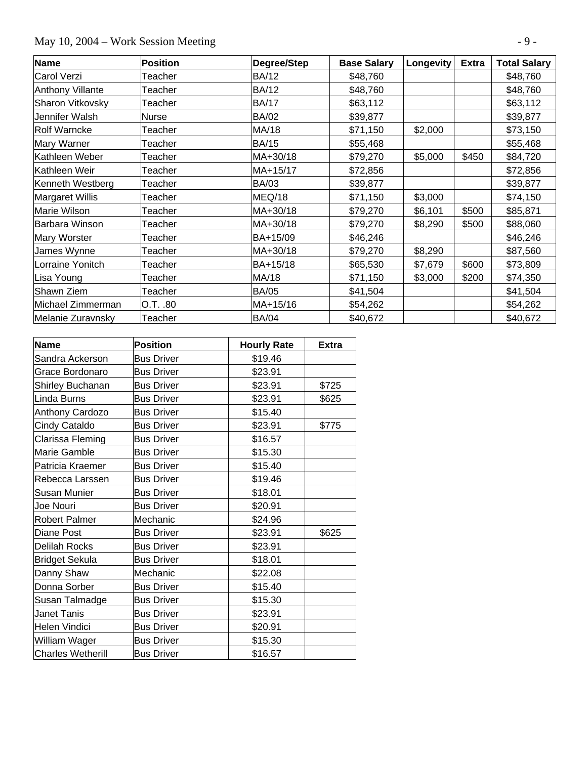# May 10, 2004 – Work Session Meeting  $-9 -$

| Name                    | <b>Position</b> | Degree/Step  | <b>Base Salary</b> | Longevity | <b>Extra</b> | <b>Total Salary</b> |
|-------------------------|-----------------|--------------|--------------------|-----------|--------------|---------------------|
| <b>Carol Verzi</b>      | Teacher         | <b>BA/12</b> | \$48,760           |           |              | \$48,760            |
| <b>Anthony Villante</b> | Teacher         | <b>BA/12</b> | \$48,760           |           |              | \$48,760            |
| Sharon Vitkovsky        | Teacher         | <b>BA/17</b> | \$63,112           |           |              | \$63,112            |
| Jennifer Walsh          | Nurse           | <b>BA/02</b> | \$39,877           |           |              | \$39,877            |
| <b>Rolf Warncke</b>     | Teacher         | MA/18        | \$71,150           | \$2,000   |              | \$73,150            |
| Mary Warner             | Teacher         | <b>BA/15</b> | \$55,468           |           |              | \$55,468            |
| Kathleen Weber          | Teacher         | MA+30/18     | \$79,270           | \$5,000   | \$450        | \$84,720            |
| Kathleen Weir           | Teacher         | MA+15/17     | \$72,856           |           |              | \$72,856            |
| Kenneth Westberg        | Teacher         | <b>BA/03</b> | \$39,877           |           |              | \$39,877            |
| <b>Margaret Willis</b>  | Teacher         | MEQ/18       | \$71,150           | \$3,000   |              | \$74,150            |
| Marie Wilson            | Teacher         | MA+30/18     | \$79,270           | \$6,101   | \$500        | \$85,871            |
| Barbara Winson          | Teacher         | MA+30/18     | \$79,270           | \$8,290   | \$500        | \$88,060            |
| Mary Worster            | Teacher         | BA+15/09     | \$46,246           |           |              | \$46,246            |
| James Wynne             | Teacher         | MA+30/18     | \$79,270           | \$8,290   |              | \$87,560            |
| Lorraine Yonitch        | Teacher         | BA+15/18     | \$65,530           | \$7,679   | \$600        | \$73,809            |
| Lisa Young              | Teacher         | MA/18        | \$71,150           | \$3,000   | \$200        | \$74,350            |
| Shawn Ziem              | Teacher         | <b>BA/05</b> | \$41,504           |           |              | \$41,504            |
| Michael Zimmerman       | O.T. .80        | MA+15/16     | \$54,262           |           |              | \$54,262            |
| Melanie Zuravnsky       | Teacher         | <b>BA/04</b> | \$40,672           |           |              | \$40,672            |

| <b>Name</b>              | <b>Position</b>   | <b>Hourly Rate</b> | <b>Extra</b> |
|--------------------------|-------------------|--------------------|--------------|
| Sandra Ackerson          | <b>Bus Driver</b> | \$19.46            |              |
| Grace Bordonaro          | <b>Bus Driver</b> | \$23.91            |              |
| Shirley Buchanan         | <b>Bus Driver</b> | \$23.91            | \$725        |
| Linda Burns              | <b>Bus Driver</b> | \$23.91            | \$625        |
| Anthony Cardozo          | <b>Bus Driver</b> | \$15.40            |              |
| Cindy Cataldo            | <b>Bus Driver</b> | \$23.91            | \$775        |
| Clarissa Fleming         | <b>Bus Driver</b> | \$16.57            |              |
| Marie Gamble             | <b>Bus Driver</b> | \$15.30            |              |
| Patricia Kraemer         | <b>Bus Driver</b> | \$15.40            |              |
| Rebecca Larssen          | <b>Bus Driver</b> | \$19.46            |              |
| Susan Munier             | <b>Bus Driver</b> | \$18.01            |              |
| Joe Nouri                | <b>Bus Driver</b> | \$20.91            |              |
| <b>Robert Palmer</b>     | Mechanic          | \$24.96            |              |
| Diane Post               | <b>Bus Driver</b> | \$23.91            | \$625        |
| Delilah Rocks            | <b>Bus Driver</b> | \$23.91            |              |
| <b>Bridget Sekula</b>    | <b>Bus Driver</b> | \$18.01            |              |
| Danny Shaw               | Mechanic          | \$22.08            |              |
| Donna Sorber             | <b>Bus Driver</b> | \$15.40            |              |
| Susan Talmadge           | <b>Bus Driver</b> | \$15.30            |              |
| Janet Tanis              | <b>Bus Driver</b> | \$23.91            |              |
| Helen Vindici            | <b>Bus Driver</b> | \$20.91            |              |
| William Wager            | <b>Bus Driver</b> | \$15.30            |              |
| <b>Charles Wetherill</b> | <b>Bus Driver</b> | \$16.57            |              |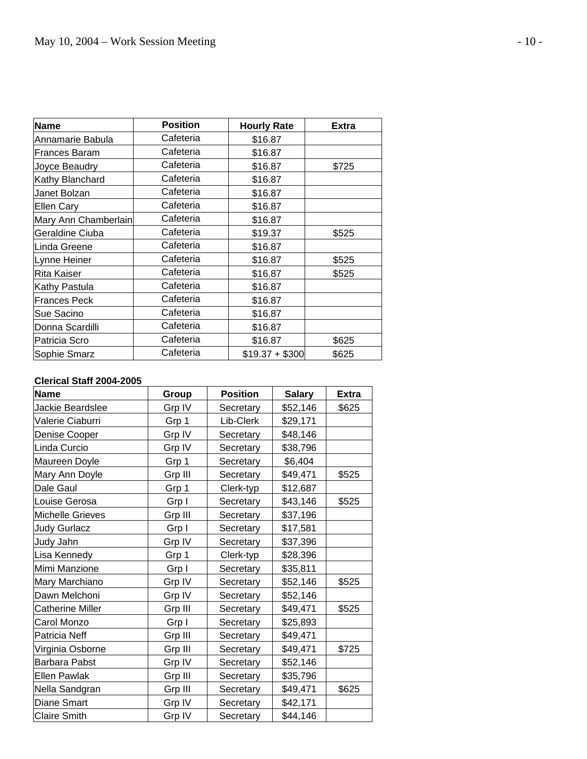| <b>Name</b>          | <b>Position</b> | <b>Hourly Rate</b> | <b>Extra</b> |
|----------------------|-----------------|--------------------|--------------|
| Annamarie Babula     | Cafeteria       | \$16.87            |              |
| <b>Frances Baram</b> | Cafeteria       | \$16.87            |              |
| Joyce Beaudry        | Cafeteria       | \$16.87            | \$725        |
| Kathy Blanchard      | Cafeteria       | \$16.87            |              |
| Janet Bolzan         | Cafeteria       | \$16.87            |              |
| <b>Ellen Cary</b>    | Cafeteria       | \$16.87            |              |
| Mary Ann Chamberlain | Cafeteria       | \$16.87            |              |
| Geraldine Ciuba      | Cafeteria       | \$19.37            | \$525        |
| Linda Greene         | Cafeteria       | \$16.87            |              |
| Lynne Heiner         | Cafeteria       | \$16.87            | \$525        |
| Rita Kaiser          | Cafeteria       | \$16.87            | \$525        |
| Kathy Pastula        | Cafeteria       | \$16.87            |              |
| <b>Frances Peck</b>  | Cafeteria       | \$16.87            |              |
| Sue Sacino           | Cafeteria       | \$16.87            |              |
| Donna Scardilli      | Cafeteria       | \$16.87            |              |
| Patricia Scro        | Cafeteria       | \$16.87            | \$625        |
| Sophie Smarz         | Cafeteria       | $$19.37 + $300$    | \$625        |

#### **Clerical Staff 2004-2005**

| <b>Name</b>             | Group   | <b>Position</b> | <b>Salary</b> | <b>Extra</b> |
|-------------------------|---------|-----------------|---------------|--------------|
| Jackie Beardslee        | Grp IV  | Secretary       | \$52,146      | \$625        |
| Valerie Ciaburri        | Grp 1   | Lib-Clerk       | \$29,171      |              |
| Denise Cooper           | Grp IV  | Secretary       | \$48,146      |              |
| Linda Curcio            | Grp IV  | Secretary       | \$38,796      |              |
| Maureen Doyle           | Grp 1   | Secretary       | \$6,404       |              |
| Mary Ann Doyle          | Grp III | Secretary       | \$49,471      | \$525        |
| Dale Gaul               | Grp 1   | Clerk-typ       | \$12,687      |              |
| Louise Gerosa           | Grp I   | Secretary       | \$43,146      | \$525        |
| <b>Michelle Grieves</b> | Grp III | Secretary       | \$37,196      |              |
| <b>Judy Gurlacz</b>     | Grp I   | Secretary       | \$17,581      |              |
| Judy Jahn               | Grp IV  | Secretary       | \$37,396      |              |
| Lisa Kennedy            | Grp 1   | Clerk-typ       | \$28,396      |              |
| Mimi Manzione           | Grp I   | Secretary       | \$35,811      |              |
| Mary Marchiano          | Grp IV  | Secretary       | \$52,146      | \$525        |
| Dawn Melchoni           | Grp IV  | Secretary       | \$52,146      |              |
| Catherine Miller        | Grp III | Secretary       | \$49,471      | \$525        |
| Carol Monzo             | Grp I   | Secretary       | \$25,893      |              |
| Patricia Neff           | Grp III | Secretary       | \$49,471      |              |
| Virginia Osborne        | Grp III | Secretary       | \$49,471      | \$725        |
| <b>Barbara Pabst</b>    | Grp IV  | Secretary       | \$52,146      |              |
| <b>Ellen Pawlak</b>     | Grp III | Secretary       | \$35,796      |              |
| Nella Sandgran          | Grp III | Secretary       | \$49,471      | \$625        |
| Diane Smart             | Grp IV  | Secretary       | \$42,171      |              |
| <b>Claire Smith</b>     | Grp IV  | Secretary       | \$44,146      |              |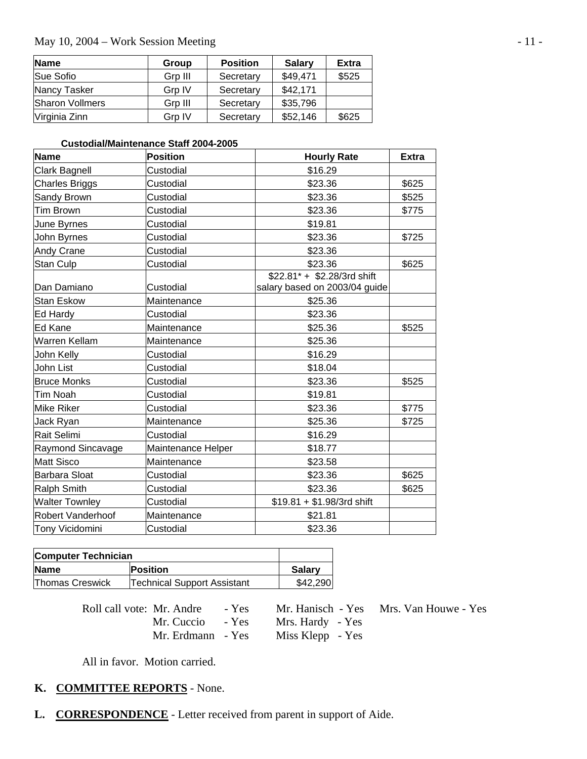#### May 10, 2004 – Work Session Meeting - 11 -

| <b>Name</b>            | Group   | <b>Position</b> | <b>Salary</b> | <b>Extra</b> |
|------------------------|---------|-----------------|---------------|--------------|
| Sue Sofio              | Grp III | Secretary       | \$49,471      | \$525        |
| <b>Nancy Tasker</b>    | Grp IV  | Secretary       | \$42,171      |              |
| <b>Sharon Vollmers</b> | Grp III | Secretary       | \$35,796      |              |
| Virginia Zinn          | Grp IV  | Secretary       | \$52,146      | \$625        |

#### **Custodial/Maintenance Staff 2004-2005**

| <b>Name</b>           | <b>Position</b>    | <b>Hourly Rate</b>            | <b>Extra</b> |
|-----------------------|--------------------|-------------------------------|--------------|
| Clark Bagnell         | Custodial          | \$16.29                       |              |
| <b>Charles Briggs</b> | Custodial          | \$23.36                       | \$625        |
| Sandy Brown           | Custodial          | \$23.36                       | \$525        |
| Tim Brown             | Custodial          | \$23.36                       | \$775        |
| June Byrnes           | Custodial          | \$19.81                       |              |
| John Byrnes           | Custodial          | \$23.36                       | \$725        |
| Andy Crane            | Custodial          | \$23.36                       |              |
| Stan Culp             | Custodial          | \$23.36                       | \$625        |
|                       |                    | \$22.81* + \$2.28/3rd shift   |              |
| Dan Damiano           | Custodial          | salary based on 2003/04 guide |              |
| Stan Eskow            | Maintenance        | \$25.36                       |              |
| Ed Hardy              | Custodial          | \$23.36                       |              |
| Ed Kane               | Maintenance        | \$25.36                       | \$525        |
| Warren Kellam         | Maintenance        | \$25.36                       |              |
| John Kelly            | Custodial          | \$16.29                       |              |
| John List             | Custodial          | \$18.04                       |              |
| <b>Bruce Monks</b>    | Custodial          | \$23.36                       | \$525        |
| Tim Noah              | Custodial          | \$19.81                       |              |
| Mike Riker            | Custodial          | \$23.36                       | \$775        |
| Jack Ryan             | Maintenance        | \$25.36                       | \$725        |
| Rait Selimi           | Custodial          | \$16.29                       |              |
| Raymond Sincavage     | Maintenance Helper | \$18.77                       |              |
| <b>Matt Sisco</b>     | Maintenance        | \$23.58                       |              |
| Barbara Sloat         | Custodial          | \$23.36                       | \$625        |
| <b>Ralph Smith</b>    | Custodial          | \$23.36                       | \$625        |
| <b>Walter Townley</b> | Custodial          | $$19.81 + $1.98/3$ rd shift   |              |
| Robert Vanderhoof     | Maintenance        | \$21.81                       |              |
| Tony Vicidomini       | Custodial          | \$23.36                       |              |

| <b>Computer Technician</b> |                                    |               |  |
|----------------------------|------------------------------------|---------------|--|
| <b>Name</b>                | <b>Position</b>                    | <b>Salary</b> |  |
| <b>Thomas Creswick</b>     | <b>Technical Support Assistant</b> | \$42,290      |  |

| Roll call vote: Mr. Andre - Yes |                  | Mr. Hanisch - Yes Mrs. Van Houwe - Yes |
|---------------------------------|------------------|----------------------------------------|
| Mr. Cuccio - Yes                | Mrs. Hardy - Yes |                                        |
| Mr. Erdmann - Yes               | Miss Klepp - Yes |                                        |

All in favor. Motion carried.

### **K. COMMITTEE REPORTS** - None.

**L. CORRESPONDENCE** - Letter received from parent in support of Aide.